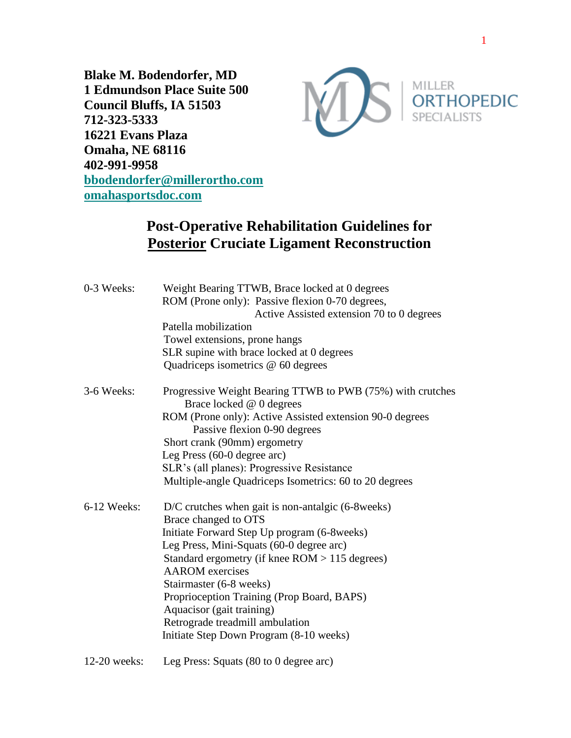**Blake M. Bodendorfer, MD 1 Edmundson Place Suite 500 Council Bluffs, IA 51503 712-323-5333 16221 Evans Plaza Omaha, NE 68116 402-991-9958 [bbodendorfer@millerortho.com](mailto:bbodendorfer@millerortho.com) [omahasportsdoc.com](http://www.omahasportsdoc.com/)**



## **Post-Operative Rehabilitation Guidelines for Posterior Cruciate Ligament Reconstruction**

| 0-3 Weeks:    | Weight Bearing TTWB, Brace locked at 0 degrees<br>ROM (Prone only): Passive flexion 0-70 degrees,<br>Active Assisted extension 70 to 0 degrees |
|---------------|------------------------------------------------------------------------------------------------------------------------------------------------|
|               | Patella mobilization                                                                                                                           |
|               | Towel extensions, prone hangs                                                                                                                  |
|               | SLR supine with brace locked at 0 degrees                                                                                                      |
|               | Quadriceps isometrics @ 60 degrees                                                                                                             |
| 3-6 Weeks:    | Progressive Weight Bearing TTWB to PWB (75%) with crutches<br>Brace locked @ 0 degrees                                                         |
|               | ROM (Prone only): Active Assisted extension 90-0 degrees<br>Passive flexion 0-90 degrees                                                       |
|               | Short crank (90mm) ergometry                                                                                                                   |
|               | Leg Press (60-0 degree arc)                                                                                                                    |
|               | SLR's (all planes): Progressive Resistance                                                                                                     |
|               | Multiple-angle Quadriceps Isometrics: 60 to 20 degrees                                                                                         |
| $6-12$ Weeks: | $D/C$ crutches when gait is non-antalgic (6-8 weeks)<br>Brace changed to OTS                                                                   |
|               | Initiate Forward Step Up program (6-8weeks)                                                                                                    |
|               | Leg Press, Mini-Squats (60-0 degree arc)                                                                                                       |
|               | Standard ergometry (if knee $ROM > 115$ degrees)                                                                                               |
|               | <b>AAROM</b> exercises                                                                                                                         |
|               | Stairmaster (6-8 weeks)                                                                                                                        |
|               | Proprioception Training (Prop Board, BAPS)                                                                                                     |
|               | Aquacisor (gait training)                                                                                                                      |
|               | Retrograde treadmill ambulation                                                                                                                |
|               | Initiate Step Down Program (8-10 weeks)                                                                                                        |
| 12-20 weeks:  | Leg Press: Squats $(80 \text{ to } 0 \text{ degree arc})$                                                                                      |